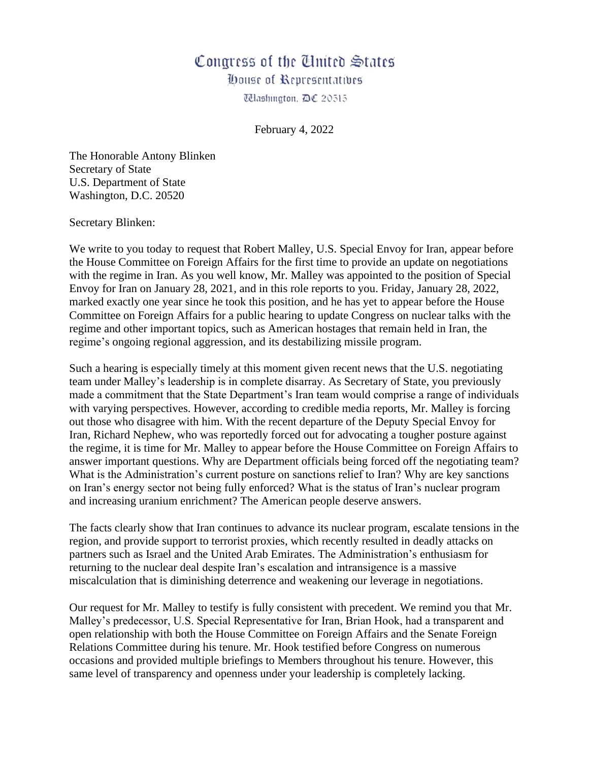## Congress of the United States

**Oouse of Representatives** 

Télashington, D€ 20515

February 4, 2022

The Honorable Antony Blinken Secretary of State U.S. Department of State Washington, D.C. 20520

Secretary Blinken:

We write to you today to request that Robert Malley, U.S. Special Envoy for Iran, appear before the House Committee on Foreign Affairs for the first time to provide an update on negotiations with the regime in Iran. As you well know, Mr. Malley was appointed to the position of Special Envoy for Iran on January 28, 2021, and in this role reports to you. Friday, January 28, 2022, marked exactly one year since he took this position, and he has yet to appear before the House Committee on Foreign Affairs for a public hearing to update Congress on nuclear talks with the regime and other important topics, such as American hostages that remain held in Iran, the regime's ongoing regional aggression, and its destabilizing missile program.

Such a hearing is especially timely at this moment given recent news that the U.S. negotiating team under Malley's leadership is in complete disarray. As Secretary of State, you previously made a commitment that the State Department's Iran team would comprise a range of individuals with varying perspectives. However, according to credible media reports, Mr. Malley is forcing out those who disagree with him. With the recent departure of the Deputy Special Envoy for Iran, Richard Nephew, who was reportedly forced out for advocating a tougher posture against the regime, it is time for Mr. Malley to appear before the House Committee on Foreign Affairs to answer important questions. Why are Department officials being forced off the negotiating team? What is the Administration's current posture on sanctions relief to Iran? Why are key sanctions on Iran's energy sector not being fully enforced? What is the status of Iran's nuclear program and increasing uranium enrichment? The American people deserve answers.

The facts clearly show that Iran continues to advance its nuclear program, escalate tensions in the region, and provide support to terrorist proxies, which recently resulted in deadly attacks on partners such as Israel and the United Arab Emirates. The Administration's enthusiasm for returning to the nuclear deal despite Iran's escalation and intransigence is a massive miscalculation that is diminishing deterrence and weakening our leverage in negotiations.

Our request for Mr. Malley to testify is fully consistent with precedent. We remind you that Mr. Malley's predecessor, U.S. Special Representative for Iran, Brian Hook, had a transparent and open relationship with both the House Committee on Foreign Affairs and the Senate Foreign Relations Committee during his tenure. Mr. Hook testified before Congress on numerous occasions and provided multiple briefings to Members throughout his tenure. However, this same level of transparency and openness under your leadership is completely lacking.